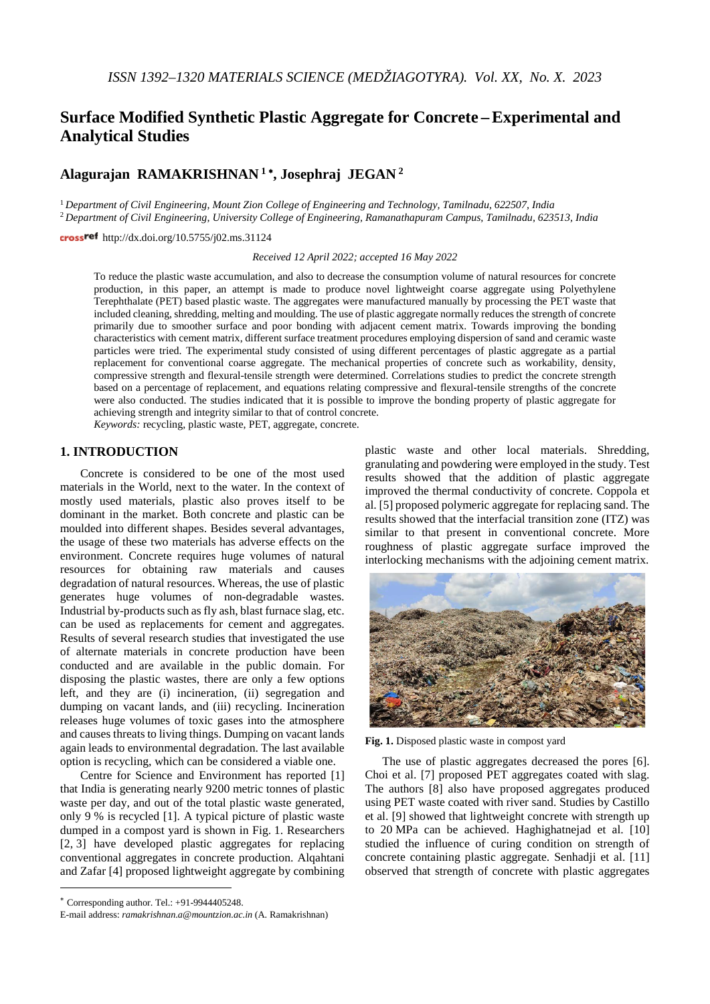# **Surface Modified Synthetic Plastic Aggregate for Concrete –Experimental and Analytical Studies**

# **Alagurajan RAMAKRISHNAN <sup>1</sup>** <sup>∗</sup>**, Josephraj JEGAN <sup>2</sup>**

<sup>1</sup> *Department of Civil Engineering, Mount Zion College of Engineering and Technology, Tamilnadu, 622507, India* <sup>2</sup> *Department of Civil Engineering, University College of Engineering, Ramanathapuram Campus, Tamilnadu, 623513, India*

cross<sup>ref</sup> [http://dx.doi.org/10.5755/j02.ms.31124](http://dx.doi.org/10.XXXX/j01.xxxxxxx)

*Received 12 April 2022; accepted 16 May 2022*

To reduce the plastic waste accumulation, and also to decrease the consumption volume of natural resources for concrete production, in this paper, an attempt is made to produce novel lightweight coarse aggregate using Polyethylene Terephthalate (PET) based plastic waste. The aggregates were manufactured manually by processing the PET waste that included cleaning, shredding, melting and moulding. The use of plastic aggregate normally reduces the strength of concrete primarily due to smoother surface and poor bonding with adjacent cement matrix. Towards improving the bonding characteristics with cement matrix, different surface treatment procedures employing dispersion of sand and ceramic waste particles were tried. The experimental study consisted of using different percentages of plastic aggregate as a partial replacement for conventional coarse aggregate. The mechanical properties of concrete such as workability, density, compressive strength and flexural-tensile strength were determined. Correlations studies to predict the concrete strength based on a percentage of replacement, and equations relating compressive and flexural-tensile strengths of the concrete were also conducted. The studies indicated that it is possible to improve the bonding property of plastic aggregate for achieving strength and integrity similar to that of control concrete.

*Keywords:* recycling, plastic waste, PET, aggregate, concrete.

# **1. INTRODUCTION**[∗](#page-0-0)

Concrete is considered to be one of the most used materials in the World, next to the water. In the context of mostly used materials, plastic also proves itself to be dominant in the market. Both concrete and plastic can be moulded into different shapes. Besides several advantages, the usage of these two materials has adverse effects on the environment. Concrete requires huge volumes of natural resources for obtaining raw materials and causes degradation of natural resources. Whereas, the use of plastic generates huge volumes of non-degradable wastes. Industrial by-products such as fly ash, blast furnace slag, etc. can be used as replacements for cement and aggregates. Results of several research studies that investigated the use of alternate materials in concrete production have been conducted and are available in the public domain. For disposing the plastic wastes, there are only a few options left, and they are (i) incineration, (ii) segregation and dumping on vacant lands, and (iii) recycling. Incineration releases huge volumes of toxic gases into the atmosphere and causes threats to living things. Dumping on vacant lands again leads to environmental degradation. The last available option is recycling, which can be considered a viable one.

Centre for Science and Environment has reported [1] that India is generating nearly 9200 metric tonnes of plastic waste per day, and out of the total plastic waste generated, only 9 % is recycled [1]. A typical picture of plastic waste dumped in a compost yard is shown in Fig. 1. Researchers [2, 3] have developed plastic aggregates for replacing conventional aggregates in concrete production. Alqahtani and Zafar [4] proposed lightweight aggregate by combining

l

plastic waste and other local materials. Shredding, granulating and powdering were employed in the study. Test results showed that the addition of plastic aggregate improved the thermal conductivity of concrete. Coppola et al. [5] proposed polymeric aggregate for replacing sand. The results showed that the interfacial transition zone (ITZ) was similar to that present in conventional concrete. More roughness of plastic aggregate surface improved the interlocking mechanisms with the adjoining cement matrix.



**Fig. 1.** Disposed plastic waste in compost yard

The use of plastic aggregates decreased the pores [6]. Choi et al. [7] proposed PET aggregates coated with slag. The authors [8] also have proposed aggregates produced using PET waste coated with river sand. Studies by Castillo et al. [9] showed that lightweight concrete with strength up to 20 MPa can be achieved. Haghighatnejad et al. [10] studied the influence of curing condition on strength of concrete containing plastic aggregate. Senhadji et al. [11] observed that strength of concrete with plastic aggregates

<span id="page-0-0"></span><sup>∗</sup> Corresponding author. Tel.: +91-9944405248.

E-mail address: *ramakrishnan.a@mountzion.ac.in* (A. Ramakrishnan)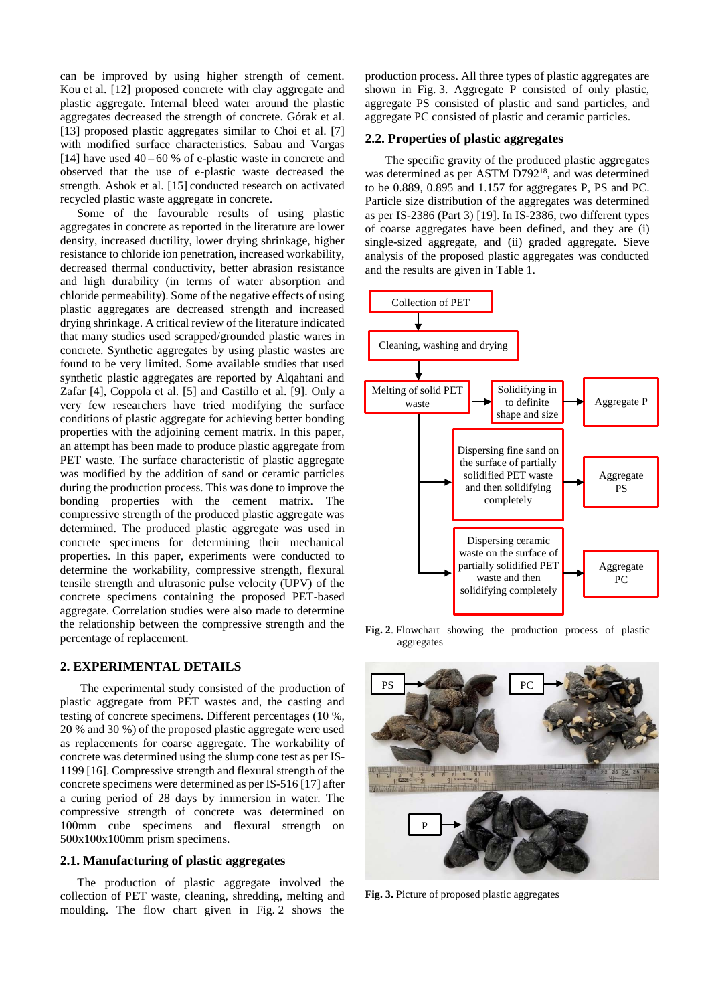can be improved by using higher strength of cement. Kou et al. [12] proposed concrete with clay aggregate and plastic aggregate. Internal bleed water around the plastic aggregates decreased the strength of concrete. Górak et al. [13] proposed plastic aggregates similar to Choi et al. [7] with modified surface characteristics. Sabau and Vargas [14] have used  $40 - 60$  % of e-plastic waste in concrete and observed that the use of e-plastic waste decreased the strength. Ashok et al. [15] conducted research on activated recycled plastic waste aggregate in concrete.

Some of the favourable results of using plastic aggregates in concrete as reported in the literature are lower density, increased ductility, lower drying shrinkage, higher resistance to chloride ion penetration, increased workability, decreased thermal conductivity, better abrasion resistance and high durability (in terms of water absorption and chloride permeability). Some of the negative effects of using plastic aggregates are decreased strength and increased drying shrinkage. A critical review of the literature indicated that many studies used scrapped/grounded plastic wares in concrete. Synthetic aggregates by using plastic wastes are found to be very limited. Some available studies that used synthetic plastic aggregates are reported by Alqahtani and Zafar [4], Coppola et al. [5] and Castillo et al. [9]. Only a very few researchers have tried modifying the surface conditions of plastic aggregate for achieving better bonding properties with the adjoining cement matrix. In this paper, an attempt has been made to produce plastic aggregate from PET waste. The surface characteristic of plastic aggregate was modified by the addition of sand or ceramic particles during the production process. This was done to improve the bonding properties with the cement matrix. The compressive strength of the produced plastic aggregate was determined. The produced plastic aggregate was used in concrete specimens for determining their mechanical properties. In this paper, experiments were conducted to determine the workability, compressive strength, flexural tensile strength and ultrasonic pulse velocity (UPV) of the concrete specimens containing the proposed PET-based aggregate. Correlation studies were also made to determine the relationship between the compressive strength and the percentage of replacement.

# **2. EXPERIMENTAL DETAILS**

The experimental study consisted of the production of plastic aggregate from PET wastes and, the casting and testing of concrete specimens. Different percentages (10 %, 20 % and 30 %) of the proposed plastic aggregate were used as replacements for coarse aggregate. The workability of concrete was determined using the slump cone test as per IS-1199 [16]. Compressive strength and flexural strength of the concrete specimens were determined as per IS-516 [17] after a curing period of 28 days by immersion in water. The compressive strength of concrete was determined on 100mm cube specimens and flexural strength on 500x100x100mm prism specimens.

### **2.1. Manufacturing of plastic aggregates**

The production of plastic aggregate involved the collection of PET waste, cleaning, shredding, melting and moulding. The flow chart given in Fig. 2 shows the production process. All three types of plastic aggregates are shown in Fig. 3. Aggregate P consisted of only plastic, aggregate PS consisted of plastic and sand particles, and aggregate PC consisted of plastic and ceramic particles.

### **2.2. Properties of plastic aggregates**

The specific gravity of the produced plastic aggregates was determined as per ASTM D792<sup>18</sup>, and was determined to be 0.889, 0.895 and 1.157 for aggregates P, PS and PC. Particle size distribution of the aggregates was determined as per IS-2386 (Part 3) [19]. In IS-2386, two different types of coarse aggregates have been defined, and they are (i) single-sized aggregate, and (ii) graded aggregate. Sieve analysis of the proposed plastic aggregates was conducted and the results are given in Table 1.



**Fig. 2**. Flowchart showing the production process of plastic aggregates



**Fig. 3.** Picture of proposed plastic aggregates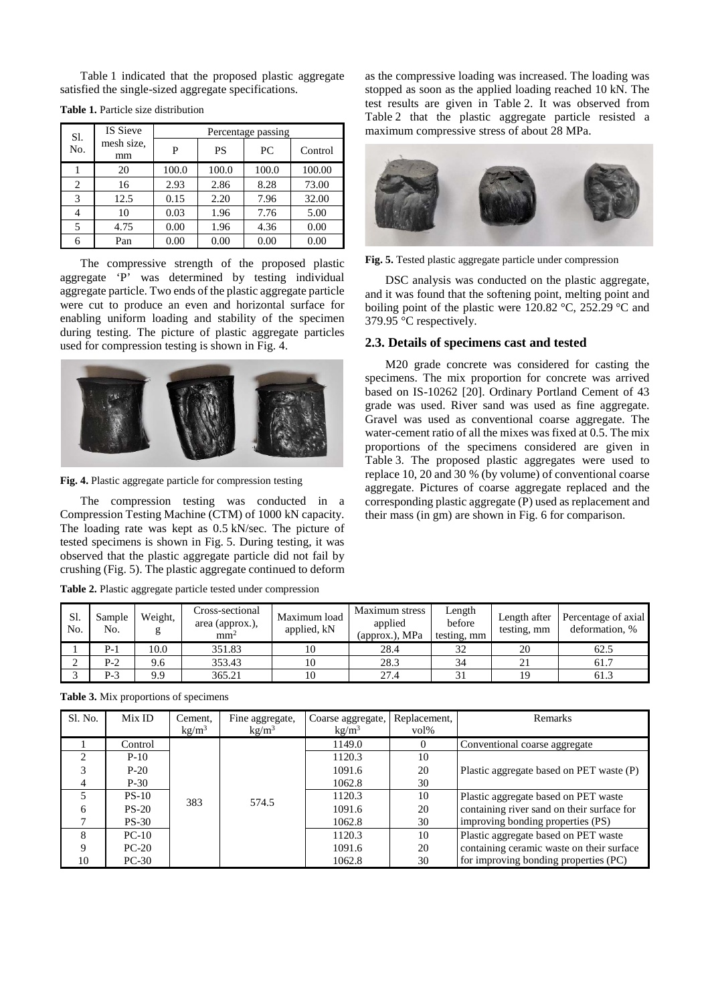Table 1 indicated that the proposed plastic aggregate satisfied the single-sized aggregate specifications.

| Sl. | <b>IS Sieve</b>  | Percentage passing |       |       |         |  |
|-----|------------------|--------------------|-------|-------|---------|--|
| No. | mesh size,<br>mm | P                  | PS    | PC.   | Control |  |
|     | 20               | 100.0              | 100.0 | 100.0 | 100.00  |  |
| 2   | 16               | 2.93               | 2.86  | 8.28  | 73.00   |  |
| 3   | 12.5             | 0.15               | 2.20  | 7.96  | 32.00   |  |
| 4   | 10               | 0.03               | 1.96  | 7.76  | 5.00    |  |
| 5   | 4.75             | 0.00               | 1.96  | 4.36  | 0.00    |  |
|     | Pan              | 0.00               | 0.00  | 0.00  | 0.00    |  |

**Table 1.** Particle size distribution

The compressive strength of the proposed plastic aggregate 'P' was determined by testing individual aggregate particle. Two ends of the plastic aggregate particle were cut to produce an even and horizontal surface for enabling uniform loading and stability of the specimen during testing. The picture of plastic aggregate particles used for compression testing is shown in Fig. 4.



**Fig. 4.** Plastic aggregate particle for compression testing

The compression testing was conducted in a Compression Testing Machine (CTM) of 1000 kN capacity. The loading rate was kept as 0.5 kN/sec. The picture of tested specimens is shown in Fig. 5. During testing, it was observed that the plastic aggregate particle did not fail by crushing (Fig. 5). The plastic aggregate continued to deform

|  |  |  |  |  |  |  | Table 2. Plastic aggregate particle tested under compression |
|--|--|--|--|--|--|--|--------------------------------------------------------------|
|--|--|--|--|--|--|--|--------------------------------------------------------------|

as the compressive loading was increased. The loading was stopped as soon as the applied loading reached 10 kN. The test results are given in Table 2. It was observed from Table 2 that the plastic aggregate particle resisted a maximum compressive stress of about 28 MPa.



**Fig. 5.** Tested plastic aggregate particle under compression

DSC analysis was conducted on the plastic aggregate, and it was found that the softening point, melting point and boiling point of the plastic were 120.82 °C, 252.29 °C and 379.95 °C respectively.

#### **2.3. Details of specimens cast and tested**

M20 grade concrete was considered for casting the specimens. The mix proportion for concrete was arrived based on IS-10262 [20]. Ordinary Portland Cement of 43 grade was used. River sand was used as fine aggregate. Gravel was used as conventional coarse aggregate. The water-cement ratio of all the mixes was fixed at 0.5. The mix proportions of the specimens considered are given in Table 3. The proposed plastic aggregates were used to replace 10, 20 and 30 % (by volume) of conventional coarse aggregate. Pictures of coarse aggregate replaced and the corresponding plastic aggregate (P) used as replacement and their mass (in gm) are shown in Fig. 6 for comparison.

| Sl.<br>No. | Sample<br>No. | Weight,<br>g | Cross-sectional<br>area (approx.),<br>mm <sup>2</sup> | Maximum load<br>applied, kN | Maximum stress<br>applied<br>(approx.), MPa | Length<br>before<br>testing, mm | Length after<br>testing, mm | Percentage of axial<br>deformation, % |
|------------|---------------|--------------|-------------------------------------------------------|-----------------------------|---------------------------------------------|---------------------------------|-----------------------------|---------------------------------------|
|            | P-1           | 10.0         | 351.83                                                |                             | 28.4                                        |                                 | 20                          | 62.5                                  |
|            | P-2           | 9.6          | 353.43                                                | 10                          | 28.3                                        | 34                              |                             | 61.7                                  |
|            | P-3           | 9.9          | 365.21                                                | 10                          | 27.4                                        |                                 |                             | 61.3                                  |

| Sl. No. | Mix ID  | Cement.           | Fine aggregate,   | Coarse aggregate, | Replacement.     | Remarks                                    |
|---------|---------|-------------------|-------------------|-------------------|------------------|--------------------------------------------|
|         |         | kg/m <sup>3</sup> | kg/m <sup>3</sup> | kg/m <sup>3</sup> | $\mathrm{vol}\%$ |                                            |
|         | Control |                   |                   | 1149.0            |                  | Conventional coarse aggregate              |
| ↑       | $P-10$  |                   |                   | 1120.3            | 10               |                                            |
| 3       | $P-20$  |                   |                   | 1091.6            | 20               | Plastic aggregate based on PET waste (P)   |
|         | $P-30$  |                   |                   | 1062.8            | 30               |                                            |
|         | $PS-10$ | 383               | 574.5             | 1120.3            | 10               | Plastic aggregate based on PET waste       |
| 6       | $PS-20$ |                   |                   | 1091.6            | 20               | containing river sand on their surface for |
|         | $PS-30$ |                   |                   | 1062.8            | 30               | improving bonding properties (PS)          |
| 8       | $PC-10$ |                   |                   | 1120.3            | 10               | Plastic aggregate based on PET waste       |
|         | $PC-20$ |                   |                   | 1091.6            | 20               | containing ceramic waste on their surface  |
| 10      | $PC-30$ |                   |                   | 1062.8            | 30               | for improving bonding properties (PC)      |

**Table 3.** Mix proportions of specimens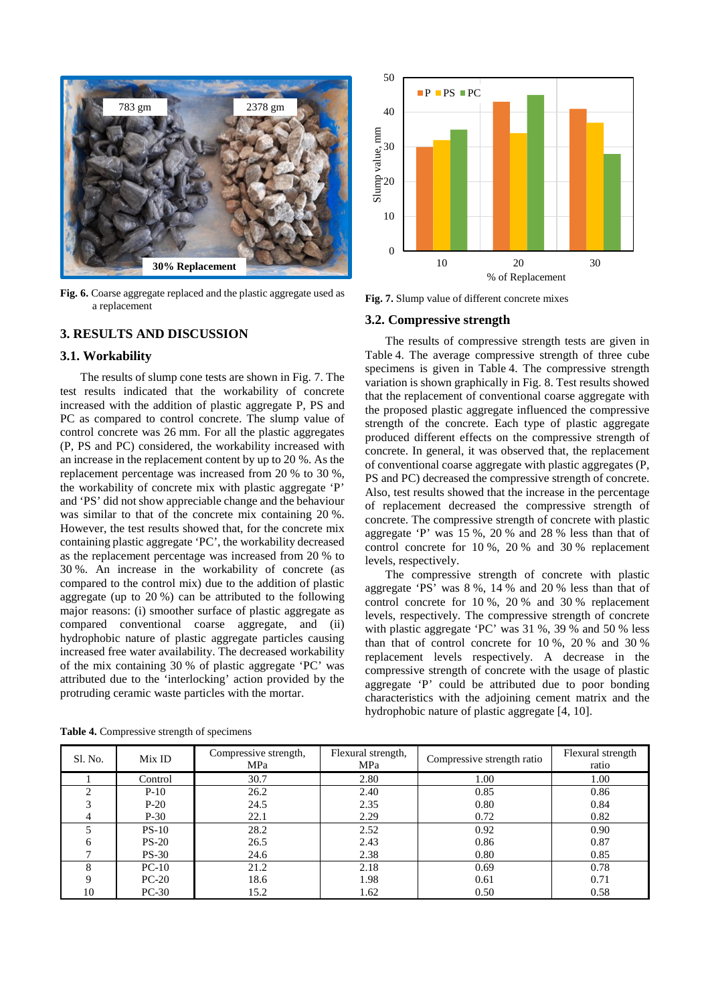

**Fig. 6.** Coarse aggregate replaced and the plastic aggregate used as a replacement

# **3. RESULTS AND DISCUSSION**

#### **3.1. Workability**

The results of slump cone tests are shown in Fig. 7. The test results indicated that the workability of concrete increased with the addition of plastic aggregate P, PS and PC as compared to control concrete. The slump value of control concrete was 26 mm. For all the plastic aggregates (P, PS and PC) considered, the workability increased with an increase in the replacement content by up to 20 %. As the replacement percentage was increased from 20 % to 30 %, the workability of concrete mix with plastic aggregate 'P' and 'PS' did not show appreciable change and the behaviour was similar to that of the concrete mix containing 20 %. However, the test results showed that, for the concrete mix containing plastic aggregate 'PC', the workability decreased as the replacement percentage was increased from 20 % to 30 %. An increase in the workability of concrete (as compared to the control mix) due to the addition of plastic aggregate (up to 20 %) can be attributed to the following major reasons: (i) smoother surface of plastic aggregate as compared conventional coarse aggregate, and (ii) hydrophobic nature of plastic aggregate particles causing increased free water availability. The decreased workability of the mix containing 30 % of plastic aggregate 'PC' was attributed due to the 'interlocking' action provided by the protruding ceramic waste particles with the mortar.

50  $\blacksquare$  P  $\blacksquare$  PS  $\blacksquare$  PC 40 Slump value, mm mm 30 Slump value,  $20$ 10 0 10 20 30 % of Replacement

**Fig. 7.** Slump value of different concrete mixes

#### **3.2. Compressive strength**

The results of compressive strength tests are given in Table 4. The average compressive strength of three cube specimens is given in Table 4. The compressive strength variation is shown graphically in Fig. 8. Test results showed that the replacement of conventional coarse aggregate with the proposed plastic aggregate influenced the compressive strength of the concrete. Each type of plastic aggregate produced different effects on the compressive strength of concrete. In general, it was observed that, the replacement of conventional coarse aggregate with plastic aggregates (P, PS and PC) decreased the compressive strength of concrete. Also, test results showed that the increase in the percentage of replacement decreased the compressive strength of concrete. The compressive strength of concrete with plastic aggregate 'P' was 15 %, 20 % and 28 % less than that of control concrete for 10 %, 20 % and 30 % replacement levels, respectively.

The compressive strength of concrete with plastic aggregate 'PS' was 8 %, 14 % and 20 % less than that of control concrete for 10 %, 20 % and 30 % replacement levels, respectively. The compressive strength of concrete with plastic aggregate 'PC' was 31 %, 39 % and 50 % less than that of control concrete for 10 %, 20 % and 30 % replacement levels respectively. A decrease in the compressive strength of concrete with the usage of plastic aggregate 'P' could be attributed due to poor bonding characteristics with the adjoining cement matrix and the hydrophobic nature of plastic aggregate [4, 10].

| Sl. No. | Mix ID  | Compressive strength,<br>MPa | Flexural strength,<br>MPa | Compressive strength ratio | Flexural strength<br>ratio |
|---------|---------|------------------------------|---------------------------|----------------------------|----------------------------|
|         | Control | 30.7                         | 2.80                      | 1.00                       | 1.00                       |
| ◠       | $P-10$  | 26.2                         | 2.40                      | 0.85                       | 0.86                       |
| 3       | $P-20$  | 24.5                         | 2.35                      | 0.80                       | 0.84                       |
|         | $P-30$  | 22.1                         | 2.29                      | 0.72                       | 0.82                       |
|         | $PS-10$ | 28.2                         | 2.52                      | 0.92                       | 0.90                       |
| 6       | $PS-20$ | 26.5                         | 2.43                      | 0.86                       | 0.87                       |
|         | $PS-30$ | 24.6                         | 2.38                      | 0.80                       | 0.85                       |
| 8       | $PC-10$ | 21.2                         | 2.18                      | 0.69                       | 0.78                       |
| Q       | $PC-20$ | 18.6                         | 1.98                      | 0.61                       | 0.71                       |
| 10      | $PC-30$ | 15.2                         | 1.62                      | 0.50                       | 0.58                       |

**Table 4.** Compressive strength of specimens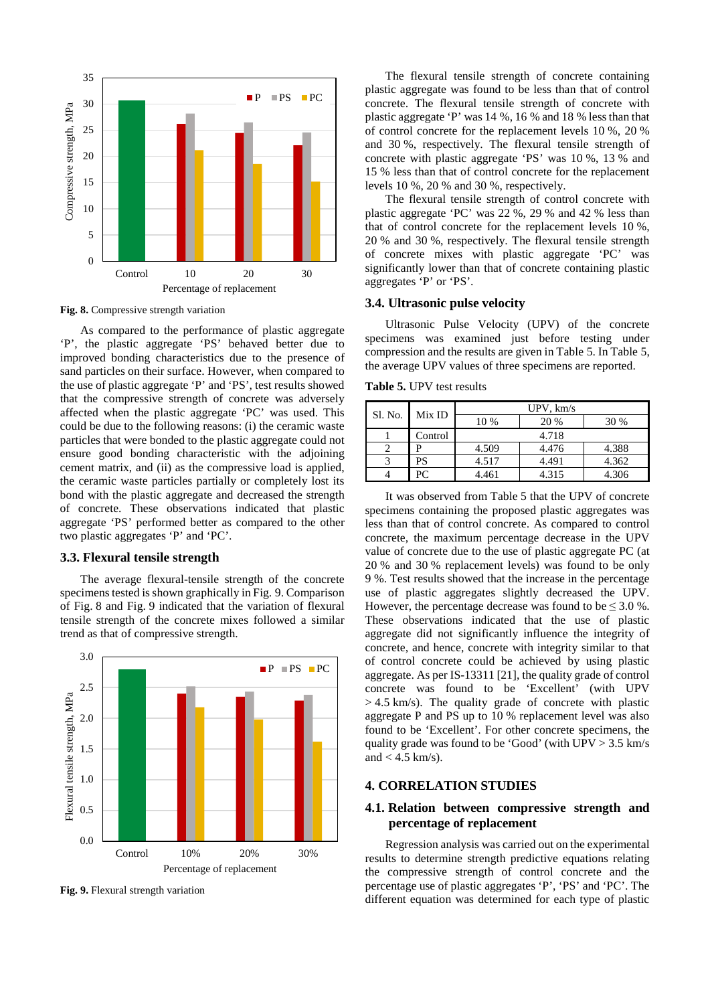

**Fig. 8.** Compressive strength variation

As compared to the performance of plastic aggregate 'P', the plastic aggregate 'PS' behaved better due to improved bonding characteristics due to the presence of sand particles on their surface. However, when compared to the use of plastic aggregate 'P' and 'PS', test results showed that the compressive strength of concrete was adversely affected when the plastic aggregate 'PC' was used. This could be due to the following reasons: (i) the ceramic waste particles that were bonded to the plastic aggregate could not ensure good bonding characteristic with the adjoining cement matrix, and (ii) as the compressive load is applied, the ceramic waste particles partially or completely lost its bond with the plastic aggregate and decreased the strength of concrete. These observations indicated that plastic aggregate 'PS' performed better as compared to the other two plastic aggregates 'P' and 'PC'.

### **3.3. Flexural tensile strength**

The average flexural-tensile strength of the concrete specimens tested is shown graphically in Fig. 9. Comparison of Fig. 8 and Fig. 9 indicated that the variation of flexural tensile strength of the concrete mixes followed a similar trend as that of compressive strength.



**Fig. 9.** Flexural strength variation

The flexural tensile strength of concrete containing plastic aggregate was found to be less than that of control concrete. The flexural tensile strength of concrete with plastic aggregate 'P' was 14 %, 16 % and 18 % less than that of control concrete for the replacement levels 10 %, 20 % and 30 %, respectively. The flexural tensile strength of concrete with plastic aggregate 'PS' was 10 %, 13 % and 15 % less than that of control concrete for the replacement levels 10 %, 20 % and 30 %, respectively.

The flexural tensile strength of control concrete with plastic aggregate 'PC' was 22 %, 29 % and 42 % less than that of control concrete for the replacement levels 10 %, 20 % and 30 %, respectively. The flexural tensile strength of concrete mixes with plastic aggregate 'PC' was significantly lower than that of concrete containing plastic aggregates 'P' or 'PS'.

#### **3.4. Ultrasonic pulse velocity**

Ultrasonic Pulse Velocity (UPV) of the concrete specimens was examined just before testing under compression and the results are given in Table 5. In Table 5, the average UPV values of three specimens are reported.

**Table 5.** UPV test results

| Sl. No. | Mix ID  | $UPV$ , $km/s$ |       |       |  |  |
|---------|---------|----------------|-------|-------|--|--|
|         |         | 10 %           | 20 %  | 30 %  |  |  |
|         | Control |                | 4.718 |       |  |  |
|         |         | 4.509          | 4.476 | 4.388 |  |  |
|         | PS      | 4.517          | 4.491 | 4.362 |  |  |
|         | PC.     | 4.461          | 4.315 | 4.306 |  |  |

It was observed from Table 5 that the UPV of concrete specimens containing the proposed plastic aggregates was less than that of control concrete. As compared to control concrete, the maximum percentage decrease in the UPV value of concrete due to the use of plastic aggregate PC (at 20 % and 30 % replacement levels) was found to be only 9 %. Test results showed that the increase in the percentage use of plastic aggregates slightly decreased the UPV. However, the percentage decrease was found to be  $\leq 3.0$  %. These observations indicated that the use of plastic aggregate did not significantly influence the integrity of concrete, and hence, concrete with integrity similar to that of control concrete could be achieved by using plastic aggregate. As per IS-13311 [21], the quality grade of control concrete was found to be 'Excellent' (with UPV  $> 4.5$  km/s). The quality grade of concrete with plastic aggregate P and PS up to 10 % replacement level was also found to be 'Excellent'. For other concrete specimens, the quality grade was found to be 'Good' (with UPV > 3.5 km/s and  $<$  4.5 km/s).

### **4. CORRELATION STUDIES**

# **4.1. Relation between compressive strength and percentage of replacement**

Regression analysis was carried out on the experimental results to determine strength predictive equations relating the compressive strength of control concrete and the percentage use of plastic aggregates 'P', 'PS' and 'PC'. The different equation was determined for each type of plastic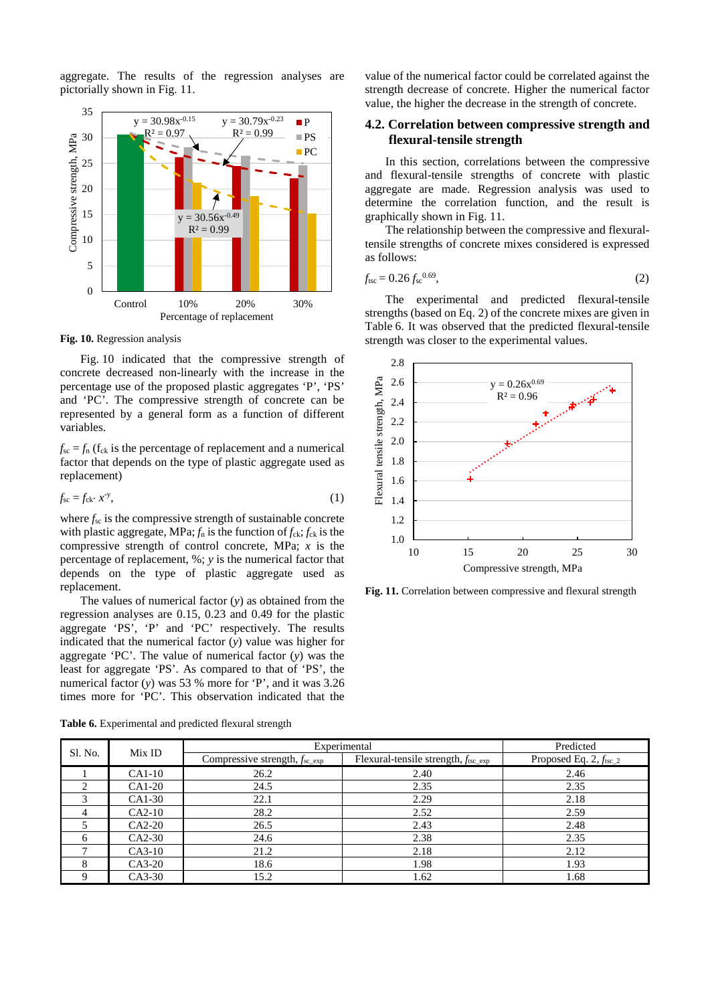aggregate. The results of the regression analyses are pictorially shown in Fig. 11.



**Fig. 10.** Regression analysis

Fig. 10 indicated that the compressive strength of concrete decreased non-linearly with the increase in the percentage use of the proposed plastic aggregates 'P', 'PS' and 'PC'. The compressive strength of concrete can be represented by a general form as a function of different variables.

 $f_{\rm sc} = f_{\rm n}$  ( $f_{\rm ck}$  is the percentage of replacement and a numerical factor that depends on the type of plastic aggregate used as replacement)

$$
f_{\rm sc} = f_{\rm ck} \cdot x^{\rm y},\tag{1}
$$

where  $f_{\rm sc}$  is the compressive strength of sustainable concrete with plastic aggregate, MPa;  $f_n$  is the function of  $f_{ck}$ ;  $f_{ck}$  is the compressive strength of control concrete, MPa; *x* is the percentage of replacement, %; *y* is the numerical factor that depends on the type of plastic aggregate used as replacement.

The values of numerical factor (*y*) as obtained from the regression analyses are 0.15, 0.23 and 0.49 for the plastic aggregate 'PS', 'P' and 'PC' respectively. The results indicated that the numerical factor (*y*) value was higher for aggregate 'PC'. The value of numerical factor (*y*) was the least for aggregate 'PS'. As compared to that of 'PS', the numerical factor (*y*) was 53 % more for 'P', and it was 3.26 times more for 'PC'. This observation indicated that the

**Table 6.** Experimental and predicted flexural strength

value of the numerical factor could be correlated against the strength decrease of concrete. Higher the numerical factor value, the higher the decrease in the strength of concrete.

# **4.2. Correlation between compressive strength and flexural-tensile strength**

In this section, correlations between the compressive and flexural-tensile strengths of concrete with plastic aggregate are made. Regression analysis was used to determine the correlation function, and the result is graphically shown in Fig. 11.

The relationship between the compressive and flexuraltensile strengths of concrete mixes considered is expressed as follows:

$$
f_{\text{tsc}} = 0.26 f_{\text{sc}}^{0.69},\tag{2}
$$

The experimental and predicted flexural-tensile strengths (based on Eq. 2) of the concrete mixes are given in Table 6. It was observed that the predicted flexural-tensile strength was closer to the experimental values.



**Fig. 11.** Correlation between compressive and flexural strength

|                   |          | Experimental                                                                                   | Predicted |                                    |
|-------------------|----------|------------------------------------------------------------------------------------------------|-----------|------------------------------------|
| Sl. No.<br>Mix ID |          | Flexural-tensile strength, $f_{\text{tsc\_exp}}$<br>Compressive strength, $f_{\text{sc\_exp}}$ |           | Proposed Eq. $2, f_{\text{tsc}_2}$ |
|                   | $CA1-10$ | 26.2                                                                                           | 2.40      | 2.46                               |
|                   | CA1-20   | 24.5                                                                                           | 2.35      | 2.35                               |
| 3                 | CA1-30   | 22.1                                                                                           | 2.29      | 2.18                               |
| 4                 | $CA2-10$ | 28.2                                                                                           | 2.52      | 2.59                               |
|                   | $CA2-20$ | 26.5                                                                                           | 2.43      | 2.48                               |
| 6                 | CA2-30   | 24.6                                                                                           | 2.38      | 2.35                               |
| $\mathcal{I}$     | $CA3-10$ | 21.2                                                                                           | 2.18      | 2.12                               |
| 8                 | $CA3-20$ | 18.6                                                                                           | 1.98      | 1.93                               |
|                   | CA3-30   | 15.2                                                                                           | 1.62      | 1.68                               |